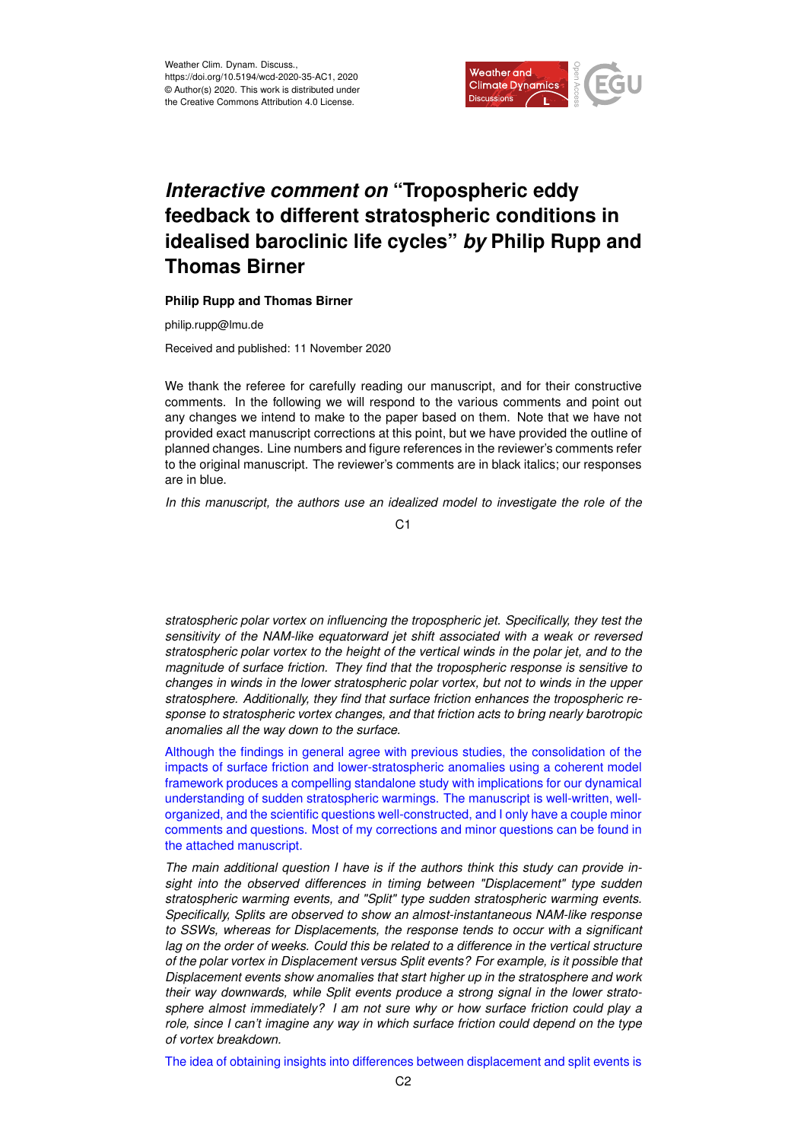

## *Interactive comment on* **"Tropospheric eddy feedback to different stratospheric conditions in idealised baroclinic life cycles"** *by* **Philip Rupp and Thomas Birner**

## **Philip Rupp and Thomas Birner**

philip.rupp@lmu.de

Received and published: 11 November 2020

We thank the referee for carefully reading our manuscript, and for their constructive comments. In the following we will respond to the various comments and point out any changes we intend to make to the paper based on them. Note that we have not provided exact manuscript corrections at this point, but we have provided the outline of planned changes. Line numbers and figure references in the reviewer's comments refer to the original manuscript. The reviewer's comments are in black italics; our responses are in blue.

*In this manuscript, the authors use an idealized model to investigate the role of the*

C<sub>1</sub>

*stratospheric polar vortex on influencing the tropospheric jet. Specifically, they test the sensitivity of the NAM-like equatorward jet shift associated with a weak or reversed stratospheric polar vortex to the height of the vertical winds in the polar jet, and to the magnitude of surface friction. They find that the tropospheric response is sensitive to changes in winds in the lower stratospheric polar vortex, but not to winds in the upper stratosphere. Additionally, they find that surface friction enhances the tropospheric response to stratospheric vortex changes, and that friction acts to bring nearly barotropic anomalies all the way down to the surface.*

Although the findings in general agree with previous studies, the consolidation of the impacts of surface friction and lower-stratospheric anomalies using a coherent model framework produces a compelling standalone study with implications for our dynamical understanding of sudden stratospheric warmings. The manuscript is well-written, wellorganized, and the scientific questions well-constructed, and I only have a couple minor comments and questions. Most of my corrections and minor questions can be found in the attached manuscript.

*The main additional question I have is if the authors think this study can provide insight into the observed differences in timing between "Displacement" type sudden stratospheric warming events, and "Split" type sudden stratospheric warming events. Specifically, Splits are observed to show an almost-instantaneous NAM-like response to SSWs, whereas for Displacements, the response tends to occur with a significant lag on the order of weeks. Could this be related to a difference in the vertical structure of the polar vortex in Displacement versus Split events? For example, is it possible that Displacement events show anomalies that start higher up in the stratosphere and work their way downwards, while Split events produce a strong signal in the lower stratosphere almost immediately? I am not sure why or how surface friction could play a role, since I can't imagine any way in which surface friction could depend on the type of vortex breakdown.*

The idea of obtaining insights into differences between displacement and split events is